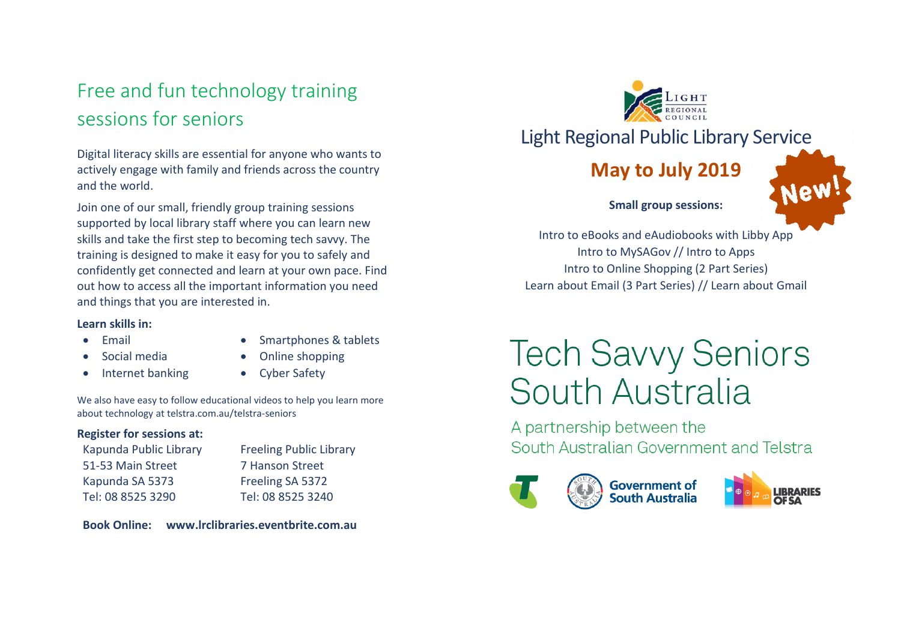## Free and fun technology training sessions for seniors

Digital literacy skills are essential for anyone who wants to actively engage with family and friends across the country and the world.

Join one of our small, friendly group training sessions supported by local library staff where you can learn new skills and take the first step to becoming tech savvy. The training is designed to make it easy for you to safely and confidently get connected and learn at your own pace. Find out how to access all the important information you need and things that you are interested in.

#### **Learn skills in:**

Email

- Smartphones & tablets
- Social media
- Internet banking
- Online shopping Cyber Safety

We also have easy to follow educational videos to help you learn more about technology at telstra.com.au/telstra-seniors

#### **Register for sessions at:**

Kapunda Public Library 51-53 Main Street Kapunda SA 5373 Tel: 08 8525 3290

Freeling Public Library 7 Hanson Street Freeling SA 5372 Tel: 08 8525 3240

**Book Online: www.lrclibraries.eventbrite.com.au**

Light Regional Public Library Service

## **May to July 2019**



**Small group sessions:**

Intro to eBooks and eAudiobooks with Libby App Intro to MySAGov // Intro to Apps Intro to Online Shopping (2 Part Series) Learn about Email (3 Part Series) // Learn about Gmail

# **Tech Savvy Seniors** South Australia

A partnership between the South Australian Government and Telstra